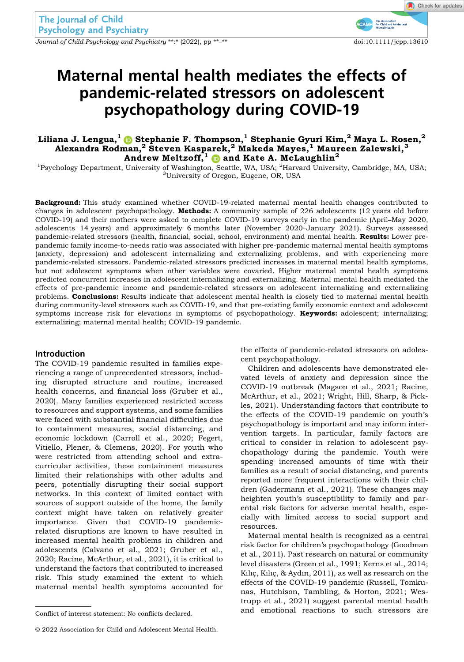Journal of Child Psychology and Psychiatry \*\*:\* (2022), pp \*\*<sup>-\*\*</sup> doi:10.1111/jcpp.13610

#### Check for updates

# Maternal mental health mediates the effects of pandemic-related stressors on adolescent psychopathology during COVID-19

# Liliana J. Lengua, $^{1}$   $\bullet$  Stephanie F. Thompson, $^{1}$  Stephanie Gyuri Kim, $^{2}$  Maya L. Rosen, $^{2}$ Alexandra Rodman, $^2$  Steven Kasparek, $^2$  Makeda Mayes, $^1$  Maureen Zalewski, $^3$ Andrew Meltzoff,  $\mathbf{0}$  and Kate A. McLaughlin<sup>2</sup>

<sup>1</sup>Psychology Department, University of Washington, Seattle, WA, USA; <sup>2</sup>Harvard University, Cambridge, MA, USA;<br><sup>3</sup>Harvard OP, USA <sup>3</sup>University of Oregon, Eugene, OR, USA

Background: This study examined whether COVID-19-related maternal mental health changes contributed to changes in adolescent psychopathology. Methods: A community sample of 226 adolescents (12 years old before COVID-19) and their mothers were asked to complete COVID-19 surveys early in the pandemic (April–May 2020, adolescents 14 years) and approximately 6 months later (November 2020–January 2021). Surveys assessed pandemic-related stressors (health, financial, social, school, environment) and mental health. Results: Lower prepandemic family income-to-needs ratio was associated with higher pre-pandemic maternal mental health symptoms (anxiety, depression) and adolescent internalizing and externalizing problems, and with experiencing more pandemic-related stressors. Pandemic-related stressors predicted increases in maternal mental health symptoms, but not adolescent symptoms when other variables were covaried. Higher maternal mental health symptoms predicted concurrent increases in adolescent internalizing and externalizing. Maternal mental health mediated the effects of pre-pandemic income and pandemic-related stressors on adolescent internalizing and externalizing problems. Conclusions: Results indicate that adolescent mental health is closely tied to maternal mental health during community-level stressors such as COVID-19, and that pre-existing family economic context and adolescent symptoms increase risk for elevations in symptoms of psychopathology. **Keywords:** adolescent; internalizing; externalizing; maternal mental health; COVID-19 pandemic.

## Introduction

The COVID-19 pandemic resulted in families experiencing a range of unprecedented stressors, including disrupted structure and routine, increased health concerns, and financial loss (Gruber et al., 2020). Many families experienced restricted access to resources and support systems, and some families were faced with substantial financial difficulties due to containment measures, social distancing, and economic lockdown (Carroll et al., 2020; Fegert, Vitiello, Plener, & Clemens, 2020). For youth who were restricted from attending school and extracurricular activities, these containment measures limited their relationships with other adults and peers, potentially disrupting their social support networks. In this context of limited contact with sources of support outside of the home, the family context might have taken on relatively greater importance. Given that COVID-19 pandemicrelated disruptions are known to have resulted in increased mental health problems in children and adolescents (Calvano et al., 2021; Gruber et al., 2020; Racine, McArthur, et al., 2021), it is critical to understand the factors that contributed to increased risk. This study examined the extent to which maternal mental health symptoms accounted for

the effects of pandemic-related stressors on adolescent psychopathology.

Children and adolescents have demonstrated elevated levels of anxiety and depression since the COVID-19 outbreak (Magson et al., 2021; Racine, McArthur, et al., 2021; Wright, Hill, Sharp, & Pickles, 2021). Understanding factors that contribute to the effects of the COVID-19 pandemic on youth's psychopathology is important and may inform intervention targets. In particular, family factors are critical to consider in relation to adolescent psychopathology during the pandemic. Youth were spending increased amounts of time with their families as a result of social distancing, and parents reported more frequent interactions with their children (Gadermann et al., 2021). These changes may heighten youth's susceptibility to family and parental risk factors for adverse mental health, especially with limited access to social support and resources.

Maternal mental health is recognized as a central risk factor for children's psychopathology (Goodman et al., 2011). Past research on natural or community level disasters (Green et al., 1991; Kerns et al., 2014; Kılıc¸, Kılıc¸, & Aydın, 2011), as well as research on the effects of the COVID-19 pandemic (Russell, Tomkunas, Hutchison, Tambling, & Horton, 2021; Westrupp et al., 2021) suggest parental mental health and emotional reactions to such stressors are Conflict of interest statement: No conflicts declared.

<sup>©</sup> 2022 Association for Child and Adolescent Mental Health.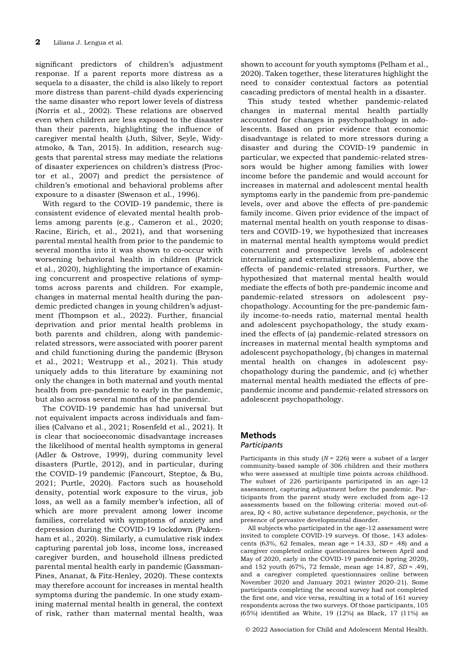significant predictors of children's adjustment response. If a parent reports more distress as a sequela to a disaster, the child is also likely to report more distress than parent–child dyads experiencing the same disaster who report lower levels of distress (Norris et al., 2002). These relations are observed even when children are less exposed to the disaster than their parents, highlighting the influence of caregiver mental health (Juth, Silver, Seyle, Widyatmoko, & Tan, 2015). In addition, research suggests that parental stress may mediate the relations of disaster experiences on children's distress (Proctor et al., 2007) and predict the persistence of children's emotional and behavioral problems after exposure to a disaster (Swenson et al., 1996).

With regard to the COVID-19 pandemic, there is consistent evidence of elevated mental health problems among parents (e.g., Cameron et al., 2020; Racine, Eirich, et al., 2021), and that worsening parental mental health from prior to the pandemic to several months into it was shown to co-occur with worsening behavioral health in children (Patrick et al., 2020), highlighting the importance of examining concurrent and prospective relations of symptoms across parents and children. For example, changes in maternal mental health during the pandemic predicted changes in young children's adjustment (Thompson et al., 2022). Further, financial deprivation and prior mental health problems in both parents and children, along with pandemicrelated stressors, were associated with poorer parent and child functioning during the pandemic (Bryson et al., 2021; Westrupp et al., 2021). This study uniquely adds to this literature by examining not only the changes in both maternal and youth mental health from pre-pandemic to early in the pandemic, but also across several months of the pandemic.

The COVID-19 pandemic has had universal but not equivalent impacts across individuals and families (Calvano et al., 2021; Rosenfeld et al., 2021). It is clear that socioeconomic disadvantage increases the likelihood of mental health symptoms in general (Adler & Ostrove, 1999), during community level disasters (Purtle, 2012), and in particular, during the COVID-19 pandemic (Fancourt, Steptoe, & Bu, 2021; Purtle, 2020). Factors such as household density, potential work exposure to the virus, job loss, as well as a family member's infection, all of which are more prevalent among lower income families, correlated with symptoms of anxiety and depression during the COVID-19 lockdown (Pakenham et al., 2020). Similarly, a cumulative risk index capturing parental job loss, income loss, increased caregiver burden, and household illness predicted parental mental health early in pandemic (Gassman-Pines, Ananat, & Fitz-Henley, 2020). These contexts may therefore account for increases in mental health symptoms during the pandemic. In one study examining maternal mental health in general, the context of risk, rather than maternal mental health, was

shown to account for youth symptoms (Pelham et al., 2020). Taken together, these literatures highlight the need to consider contextual factors as potential cascading predictors of mental health in a disaster.

This study tested whether pandemic-related changes in maternal mental health partially accounted for changes in psychopathology in adolescents. Based on prior evidence that economic disadvantage is related to more stressors during a disaster and during the COVID-19 pandemic in particular, we expected that pandemic-related stressors would be higher among families with lower income before the pandemic and would account for increases in maternal and adolescent mental health symptoms early in the pandemic from pre-pandemic levels, over and above the effects of pre-pandemic family income. Given prior evidence of the impact of maternal mental health on youth response to disasters and COVID-19, we hypothesized that increases in maternal mental health symptoms would predict concurrent and prospective levels of adolescent internalizing and externalizing problems, above the effects of pandemic-related stressors. Further, we hypothesized that maternal mental health would mediate the effects of both pre-pandemic income and pandemic-related stressors on adolescent psychopathology. Accounting for the pre-pandemic family income-to-needs ratio, maternal mental health and adolescent psychopathology, the study examined the effects of (a) pandemic-related stressors on increases in maternal mental health symptoms and adolescent psychopathology, (b) changes in maternal mental health on changes in adolescent psychopathology during the pandemic, and (c) whether maternal mental health mediated the effects of prepandemic income and pandemic-related stressors on adolescent psychopathology.

# Methods

#### **Participants**

Participants in this study  $(N = 226)$  were a subset of a larger community-based sample of 306 children and their mothers who were assessed at multiple time points across childhood. The subset of 226 participants participated in an age-12 assessment, capturing adjustment before the pandemic. Participants from the parent study were excluded from age-12 assessments based on the following criteria: moved out-ofarea, IQ < 80, active substance dependence, psychosis, or the presence of pervasive developmental disorder.

All subjects who participated in the age-12 assessment were invited to complete COVID-19 surveys. Of those, 143 adolescents (63%, 62 females, mean age = 14.33,  $SD = .48$ ) and a caregiver completed online questionnaires between April and May of 2020, early in the COVID-19 pandemic (spring 2020), and 152 youth (67%, 72 female, mean age 14.87, SD = .49), and a caregiver completed questionnaires online between November 2020 and January 2021 (winter 2020–21). Some participants completing the second survey had not completed the first one, and vice versa, resulting in a total of 161 survey respondents across the two surveys. Of those participants, 105 (65%) identified as White, 19 (12%) as Black, 17 (11%) as

© 2022 Association for Child and Adolescent Mental Health.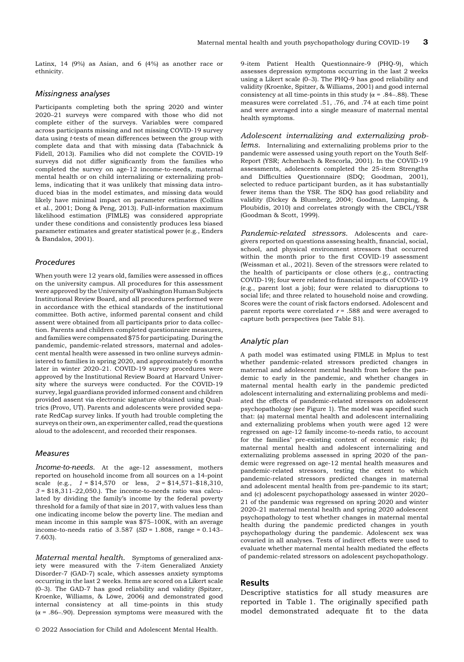Latinx, 14 (9%) as Asian, and 6 (4%) as another race or ethnicity.

## Missingness analyses

Participants completing both the spring 2020 and winter 2020–21 surveys were compared with those who did not complete either of the surveys. Variables were compared across participants missing and not missing COVID-19 survey data using t-tests of mean differences between the group with complete data and that with missing data (Tabachnick & Fidell, 2013). Families who did not complete the COVID-19 surveys did not differ significantly from the families who completed the survey on age-12 income-to-needs, maternal mental health or on child internalizing or externalizing problems, indicating that it was unlikely that missing data introduced bias in the model estimates, and missing data would likely have minimal impact on parameter estimates (Collins et al., 2001; Dong & Peng, 2013). Full-information maximum likelihood estimation (FIMLE) was considered appropriate under these conditions and consistently produces less biased parameter estimates and greater statistical power (e.g., Enders & Bandalos, 2001).

#### Procedures

When youth were 12 years old, families were assessed in offices on the university campus. All procedures for this assessment were approved by the University of Washington Human Subjects Institutional Review Board, and all procedures performed were in accordance with the ethical standards of the institutional committee. Both active, informed parental consent and child assent were obtained from all participants prior to data collection. Parents and children completed questionnaire measures, and families were compensated \$75 for participating. During the pandemic, pandemic-related stressors, maternal and adolescent mental health were assessed in two online surveys administered to families in spring 2020, and approximately 6 months later in winter 2020–21. COVID-19 survey procedures were approved by the Institutional Review Board at Harvard University where the surveys were conducted. For the COVID-19 survey, legal guardians provided informed consent and children provided assent via electronic signature obtained using Qualtrics (Provo, UT). Parents and adolescents were provided separate RedCap survey links. If youth had trouble completing the surveys on their own, an experimenter called, read the questions aloud to the adolescent, and recorded their responses.

#### Measures

Income-to-needs. At the age-12 assessment, mothers reported on household income from all sources on a 14-point scale (e.g.,  $1 = $14,570$  or less,  $2 = $14,571 - $18,310$ ,  $3 = $18,311-22,050$ .). The income-to-needs ratio was calculated by dividing the family's income by the federal poverty threshold for a family of that size in 2017, with values less than one indicating income below the poverty line. The median and mean income in this sample was \$75–100K, with an average income-to-needs ratio of  $3.587$  (SD = 1.808, range = 0.143– 7.603).

Maternal mental health. Symptoms of generalized anxiety were measured with the 7-item Generalized Anxiety Disorder-7 (GAD-7) scale, which assesses anxiety symptoms occurring in the last 2 weeks. Items are scored on a Likert scale (0–3). The GAD-7 has good reliability and validity (Spitzer, Kroenke, Williams, & Löwe, 2006) and demonstrated good internal consistency at all time-points in this study  $(\alpha = .86-.90)$ . Depression symptoms were measured with the

© 2022 Association for Child and Adolescent Mental Health.

9-item Patient Health Questionnaire-9 (PHQ-9), which assesses depression symptoms occurring in the last 2 weeks using a Likert scale (0–3). The PHQ-9 has good reliability and validity (Kroenke, Spitzer, & Williams, 2001) and good internal consistency at all time-points in this study ( $\alpha$  = .84–.88). These measures were correlated .51, .76, and .74 at each time point and were averaged into a single measure of maternal mental health symptoms.

Adolescent internalizing and externalizing problems. Internalizing and externalizing problems prior to the pandemic were assessed using youth report on the Youth Self-Report (YSR; Achenbach & Rescorla, 2001). In the COVID-19 assessments, adolescents completed the 25-item Strengths and Difficulties Questionnaire (SDQ; Goodman, 2001), selected to reduce participant burden, as it has substantially fewer items than the YSR. The SDQ has good reliability and validity (Dickey & Blumberg, 2004; Goodman, Lamping, & Ploubidis, 2010) and correlates strongly with the CBCL/YSR (Goodman & Scott, 1999).

Pandemic-related stressors. Adolescents and caregivers reported on questions assessing health, financial, social, school, and physical environment stressors that occurred within the month prior to the first COVID-19 assessment (Weissman et al., 2021). Seven of the stressors were related to the health of participants or close others (e.g., contracting COVID-19); four were related to financial impacts of COVID-19 (e.g., parent lost a job); four were related to disruptions to social life; and three related to household noise and crowding. Scores were the count of risk factors endorsed. Adolescent and parent reports were correlated  $r = .588$  and were averaged to capture both perspectives (see Table S1).

#### Analytic plan

A path model was estimated using FIMLE in Mplus to test whether pandemic-related stressors predicted changes in maternal and adolescent mental health from before the pandemic to early in the pandemic, and whether changes in maternal mental health early in the pandemic predicted adolescent internalizing and externalizing problems and mediated the effects of pandemic-related stressors on adolescent psychopathology (see Figure 1). The model was specified such that: (a) maternal mental health and adolescent internalizing and externalizing problems when youth were aged 12 were regressed on age-12 family income-to-needs ratio, to account for the families' pre-existing context of economic risk; (b) maternal mental health and adolescent internalizing and externalizing problems assessed in spring 2020 of the pandemic were regressed on age-12 mental health measures and pandemic-related stressors, testing the extent to which pandemic-related stressors predicted changes in maternal and adolescent mental health from pre-pandemic to its start; and (c) adolescent psychopathology assessed in winter 2020– 21 of the pandemic was regressed on spring 2020 and winter 2020–21 maternal mental health and spring 2020 adolescent psychopathology to test whether changes in maternal mental health during the pandemic predicted changes in youth psychopathology during the pandemic. Adolescent sex was covaried in all analyses. Tests of indirect effects were used to evaluate whether maternal mental health mediated the effects of pandemic-related stressors on adolescent psychopathology.

# Results

Descriptive statistics for all study measures are reported in Table 1. The originally specified path model demonstrated adequate fit to the data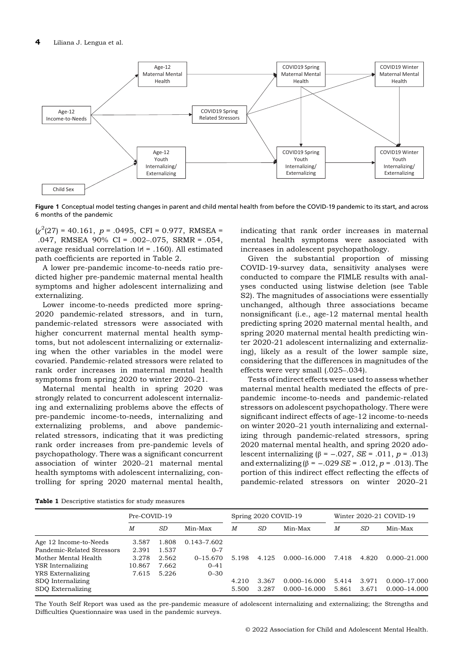

Figure 1 Conceptual model testing changes in parent and child mental health from before the COVID-19 pandemic to its start, and across 6 months of the pandemic

 $\chi^2(27) = 40.161$ ,  $p = .0495$ , CFI = 0.977, RMSEA = .047, RMSEA 90% CI = .002–.075, SRMR = .054, average residual correlation  $|r| = .160$ ). All estimated path coefficients are reported in Table 2.

A lower pre-pandemic income-to-needs ratio predicted higher pre-pandemic maternal mental health symptoms and higher adolescent internalizing and externalizing.

Lower income-to-needs predicted more spring-2020 pandemic-related stressors, and in turn, pandemic-related stressors were associated with higher concurrent maternal mental health symptoms, but not adolescent internalizing or externalizing when the other variables in the model were covaried. Pandemic-related stressors were related to rank order increases in maternal mental health symptoms from spring 2020 to winter 2020–21.

Maternal mental health in spring 2020 was strongly related to concurrent adolescent internalizing and externalizing problems above the effects of pre-pandemic income-to-needs, internalizing and externalizing problems, and above pandemicrelated stressors, indicating that it was predicting rank order increases from pre-pandemic levels of psychopathology. There was a significant concurrent association of winter 2020–21 maternal mental health symptoms with adolescent internalizing, controlling for spring 2020 maternal mental health,

indicating that rank order increases in maternal mental health symptoms were associated with increases in adolescent psychopathology.

Given the substantial proportion of missing COVID-19-survey data, sensitivity analyses were conducted to compare the FIMLE results with analyses conducted using listwise deletion (see Table S2). The magnitudes of associations were essentially unchanged, although three associations became nonsignificant (i.e., age-12 maternal mental health predicting spring 2020 maternal mental health, and spring 2020 maternal mental health predicting winter 2020-21 adolescent internalizing and externalizing), likely as a result of the lower sample size, considering that the differences in magnitudes of the effects were very small (.025–.034).

Tests of indirect effects were used to assess whether maternal mental health mediated the effects of prepandemic income-to-needs and pandemic-related stressors on adolescent psychopathology. There were significant indirect effects of age-12 income-to-needs on winter 2020–21 youth internalizing and externalizing through pandemic-related stressors, spring 2020 maternal mental health, and spring 2020 adolescent internalizing (β = -.027, *SE* = .011, *p* = .013) and externalizing (β = -.029 SE = .012,  $p = .013$ ). The portion of this indirect effect reflecting the effects of pandemic-related stressors on winter 2020–21

Table 1 Descriptive statistics for study measures

|                            | Pre-COVID-19 |       |              |       | Spring 2020 COVID-19 |                  |       |       | Winter 2020-21 COVID-19 |
|----------------------------|--------------|-------|--------------|-------|----------------------|------------------|-------|-------|-------------------------|
|                            | М            | SD    | Min-Max      | M     | SD                   | Min-Max          | M     | SD    | Min-Max                 |
| Age 12 Income-to-Needs     | 3.587        | 1.808 | 0.143-7.602  |       |                      |                  |       |       |                         |
| Pandemic-Related Stressors | 2.391        | 1.537 | $0 - 7$      |       |                      |                  |       |       |                         |
| Mother Mental Health       | 3.278        | 2.562 | $0 - 15.670$ | 5.198 | 4.125                | 0.000-16.000     | 7.418 | 4.820 | $0.000 - 21.000$        |
| YSR Internalizing          | 10.867       | 7.662 | $0 - 41$     |       |                      |                  |       |       |                         |
| YRS Externalizing          | 7.615        | 5.226 | $0 - 30$     |       |                      |                  |       |       |                         |
| SDO Internalizing          |              |       |              | 4.210 | 3.367                | $0.000 - 16.000$ | 5.414 | 3.971 | $0.000 - 17.000$        |
| SDO Externalizing          |              |       |              | 5.500 | 3.287                | $0.000 - 16.000$ | 5.861 | 3.671 | $0.000 - 14.000$        |

The Youth Self Report was used as the pre-pandemic measure of adolescent internalizing and externalizing; the Strengths and Difficulties Questionnaire was used in the pandemic surveys.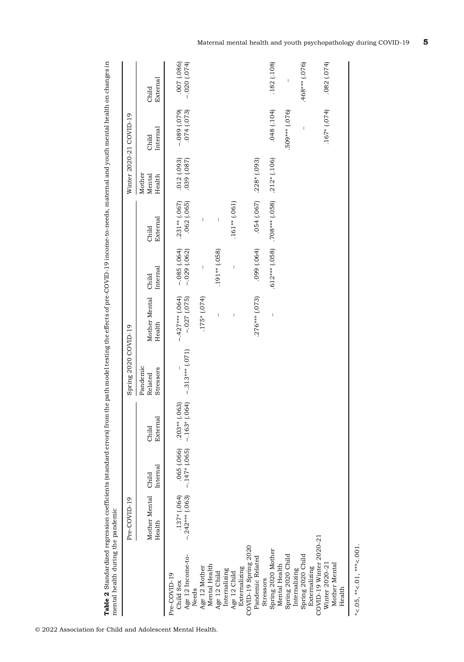| .048(.104)<br>$.167*(.074)$<br>509*** (.076)<br>(074)(073)<br>$(620)$ 680 $-$<br>$\overline{1}$<br>Internal<br>Child<br>$.212*(.106)$<br>(280, 1030, 0.00, 0.00)<br>$.228*(.093)$<br>Mother<br>Mental<br>Health<br>$.612***$ $(.058)$ $.708***$ $(.058)$<br>054 (.067)<br>$.231**(.067)$<br>.062(.065)<br>$.161**$ (.061)<br>External<br>$\begin{array}{c} \rule{0pt}{2ex} \rule{0pt}{2ex} \rule{0pt}{2ex} \rule{0pt}{2ex} \rule{0pt}{2ex} \rule{0pt}{2ex} \rule{0pt}{2ex} \rule{0pt}{2ex} \rule{0pt}{2ex} \rule{0pt}{2ex} \rule{0pt}{2ex} \rule{0pt}{2ex} \rule{0pt}{2ex} \rule{0pt}{2ex} \rule{0pt}{2ex} \rule{0pt}{2ex} \rule{0pt}{2ex} \rule{0pt}{2ex} \rule{0pt}{2ex} \rule{0pt}{2ex} \rule{0pt}{2ex} \rule{0pt}{2ex} \rule{0pt}{2ex} \rule{0pt}{$<br>Ī<br>Child<br>(690) 660<br>$-0.085$ $(.064)$<br>$-029$ $(.062)$<br>$(820)$ ** [91.<br>$\begin{array}{c} \rule{0pt}{2.5ex} \rule{0pt}{2.5ex} \rule{0pt}{2.5ex} \rule{0pt}{2.5ex} \rule{0pt}{2.5ex} \rule{0pt}{2.5ex} \rule{0pt}{2.5ex} \rule{0pt}{2.5ex} \rule{0pt}{2.5ex} \rule{0pt}{2.5ex} \rule{0pt}{2.5ex} \rule{0pt}{2.5ex} \rule{0pt}{2.5ex} \rule{0pt}{2.5ex} \rule{0pt}{2.5ex} \rule{0pt}{2.5ex} \rule{0pt}{2.5ex} \rule{0pt}{2.5ex} \rule{0pt}{2.5ex} \rule{0$<br>$\overline{\phantom{a}}$<br>Internal<br>Mother Mental Child<br>$-427***$ (.064)<br>$-.027$ $(.075)$<br>$.175*(.074)$<br>$.276***$ (.073)<br>Ï<br>Health<br>$-.313***(.071)$<br>Pandemic<br>Stressors<br>Related<br>$.203** (.063)$<br>-.163* (.064)<br>External<br>Child<br>.065(.066)<br>$-.147*(.065)$<br>Internal<br>Mother Mental Child<br>$.137*(.064)$<br>$-.242***(.063)$<br>Health<br>COVID-19 Winter 2020-21<br>COVID-19 Spring 2020<br>Spring 2020 Mother<br>Spring 2020 Child<br>Spring 2020 Child<br>Age 12 Income-to-<br>Pandemic Related<br>Mother Mental<br>Winter 2020-21<br>Mental Health<br>Mental Health<br>Age 12 Mother<br>Externalizing<br>Externalizing<br>Internalizing<br>Internalizing<br>Age 12 Child<br>Age 12 Child<br>Pre-COVID-19<br>Stressors<br>Child Sex<br>Health<br>Needs | Pre-COVID-19 |  | Spring 2020 COVID-19 |  | Winter 2020-21 COVID-19 |                                 |
|----------------------------------------------------------------------------------------------------------------------------------------------------------------------------------------------------------------------------------------------------------------------------------------------------------------------------------------------------------------------------------------------------------------------------------------------------------------------------------------------------------------------------------------------------------------------------------------------------------------------------------------------------------------------------------------------------------------------------------------------------------------------------------------------------------------------------------------------------------------------------------------------------------------------------------------------------------------------------------------------------------------------------------------------------------------------------------------------------------------------------------------------------------------------------------------------------------------------------------------------------------------------------------------------------------------------------------------------------------------------------------------------------------------------------------------------------------------------------------------------------------------------------------------------------------------------------------------------------------------------------------------------------------------------------------------------------------------------------------------------------------------------------------------------------------------------------------------------------------------------------------------------------------------------------------------------------------------------------------------------------------------------------------------------------|--------------|--|----------------------|--|-------------------------|---------------------------------|
|                                                                                                                                                                                                                                                                                                                                                                                                                                                                                                                                                                                                                                                                                                                                                                                                                                                                                                                                                                                                                                                                                                                                                                                                                                                                                                                                                                                                                                                                                                                                                                                                                                                                                                                                                                                                                                                                                                                                                                                                                                                    |              |  |                      |  |                         | External<br>Child               |
|                                                                                                                                                                                                                                                                                                                                                                                                                                                                                                                                                                                                                                                                                                                                                                                                                                                                                                                                                                                                                                                                                                                                                                                                                                                                                                                                                                                                                                                                                                                                                                                                                                                                                                                                                                                                                                                                                                                                                                                                                                                    |              |  |                      |  |                         |                                 |
|                                                                                                                                                                                                                                                                                                                                                                                                                                                                                                                                                                                                                                                                                                                                                                                                                                                                                                                                                                                                                                                                                                                                                                                                                                                                                                                                                                                                                                                                                                                                                                                                                                                                                                                                                                                                                                                                                                                                                                                                                                                    |              |  |                      |  |                         | $-0.020$ $(0.074)$<br>086) 700. |
|                                                                                                                                                                                                                                                                                                                                                                                                                                                                                                                                                                                                                                                                                                                                                                                                                                                                                                                                                                                                                                                                                                                                                                                                                                                                                                                                                                                                                                                                                                                                                                                                                                                                                                                                                                                                                                                                                                                                                                                                                                                    |              |  |                      |  |                         |                                 |
|                                                                                                                                                                                                                                                                                                                                                                                                                                                                                                                                                                                                                                                                                                                                                                                                                                                                                                                                                                                                                                                                                                                                                                                                                                                                                                                                                                                                                                                                                                                                                                                                                                                                                                                                                                                                                                                                                                                                                                                                                                                    |              |  |                      |  |                         |                                 |
|                                                                                                                                                                                                                                                                                                                                                                                                                                                                                                                                                                                                                                                                                                                                                                                                                                                                                                                                                                                                                                                                                                                                                                                                                                                                                                                                                                                                                                                                                                                                                                                                                                                                                                                                                                                                                                                                                                                                                                                                                                                    |              |  |                      |  |                         |                                 |
|                                                                                                                                                                                                                                                                                                                                                                                                                                                                                                                                                                                                                                                                                                                                                                                                                                                                                                                                                                                                                                                                                                                                                                                                                                                                                                                                                                                                                                                                                                                                                                                                                                                                                                                                                                                                                                                                                                                                                                                                                                                    |              |  |                      |  |                         |                                 |
|                                                                                                                                                                                                                                                                                                                                                                                                                                                                                                                                                                                                                                                                                                                                                                                                                                                                                                                                                                                                                                                                                                                                                                                                                                                                                                                                                                                                                                                                                                                                                                                                                                                                                                                                                                                                                                                                                                                                                                                                                                                    |              |  |                      |  |                         |                                 |
|                                                                                                                                                                                                                                                                                                                                                                                                                                                                                                                                                                                                                                                                                                                                                                                                                                                                                                                                                                                                                                                                                                                                                                                                                                                                                                                                                                                                                                                                                                                                                                                                                                                                                                                                                                                                                                                                                                                                                                                                                                                    |              |  |                      |  |                         |                                 |
|                                                                                                                                                                                                                                                                                                                                                                                                                                                                                                                                                                                                                                                                                                                                                                                                                                                                                                                                                                                                                                                                                                                                                                                                                                                                                                                                                                                                                                                                                                                                                                                                                                                                                                                                                                                                                                                                                                                                                                                                                                                    |              |  |                      |  |                         |                                 |
|                                                                                                                                                                                                                                                                                                                                                                                                                                                                                                                                                                                                                                                                                                                                                                                                                                                                                                                                                                                                                                                                                                                                                                                                                                                                                                                                                                                                                                                                                                                                                                                                                                                                                                                                                                                                                                                                                                                                                                                                                                                    |              |  |                      |  |                         |                                 |
|                                                                                                                                                                                                                                                                                                                                                                                                                                                                                                                                                                                                                                                                                                                                                                                                                                                                                                                                                                                                                                                                                                                                                                                                                                                                                                                                                                                                                                                                                                                                                                                                                                                                                                                                                                                                                                                                                                                                                                                                                                                    |              |  |                      |  |                         |                                 |
|                                                                                                                                                                                                                                                                                                                                                                                                                                                                                                                                                                                                                                                                                                                                                                                                                                                                                                                                                                                                                                                                                                                                                                                                                                                                                                                                                                                                                                                                                                                                                                                                                                                                                                                                                                                                                                                                                                                                                                                                                                                    |              |  |                      |  |                         | .182 (.108)                     |
|                                                                                                                                                                                                                                                                                                                                                                                                                                                                                                                                                                                                                                                                                                                                                                                                                                                                                                                                                                                                                                                                                                                                                                                                                                                                                                                                                                                                                                                                                                                                                                                                                                                                                                                                                                                                                                                                                                                                                                                                                                                    |              |  |                      |  |                         |                                 |
|                                                                                                                                                                                                                                                                                                                                                                                                                                                                                                                                                                                                                                                                                                                                                                                                                                                                                                                                                                                                                                                                                                                                                                                                                                                                                                                                                                                                                                                                                                                                                                                                                                                                                                                                                                                                                                                                                                                                                                                                                                                    |              |  |                      |  |                         | $\overline{1}$                  |
|                                                                                                                                                                                                                                                                                                                                                                                                                                                                                                                                                                                                                                                                                                                                                                                                                                                                                                                                                                                                                                                                                                                                                                                                                                                                                                                                                                                                                                                                                                                                                                                                                                                                                                                                                                                                                                                                                                                                                                                                                                                    |              |  |                      |  |                         |                                 |
|                                                                                                                                                                                                                                                                                                                                                                                                                                                                                                                                                                                                                                                                                                                                                                                                                                                                                                                                                                                                                                                                                                                                                                                                                                                                                                                                                                                                                                                                                                                                                                                                                                                                                                                                                                                                                                                                                                                                                                                                                                                    |              |  |                      |  |                         | .468*** (.076)                  |
|                                                                                                                                                                                                                                                                                                                                                                                                                                                                                                                                                                                                                                                                                                                                                                                                                                                                                                                                                                                                                                                                                                                                                                                                                                                                                                                                                                                                                                                                                                                                                                                                                                                                                                                                                                                                                                                                                                                                                                                                                                                    |              |  |                      |  |                         |                                 |
|                                                                                                                                                                                                                                                                                                                                                                                                                                                                                                                                                                                                                                                                                                                                                                                                                                                                                                                                                                                                                                                                                                                                                                                                                                                                                                                                                                                                                                                                                                                                                                                                                                                                                                                                                                                                                                                                                                                                                                                                                                                    |              |  |                      |  |                         |                                 |
|                                                                                                                                                                                                                                                                                                                                                                                                                                                                                                                                                                                                                                                                                                                                                                                                                                                                                                                                                                                                                                                                                                                                                                                                                                                                                                                                                                                                                                                                                                                                                                                                                                                                                                                                                                                                                                                                                                                                                                                                                                                    |              |  |                      |  |                         | .082(.074)                      |
|                                                                                                                                                                                                                                                                                                                                                                                                                                                                                                                                                                                                                                                                                                                                                                                                                                                                                                                                                                                                                                                                                                                                                                                                                                                                                                                                                                                                                                                                                                                                                                                                                                                                                                                                                                                                                                                                                                                                                                                                                                                    |              |  |                      |  |                         |                                 |
|                                                                                                                                                                                                                                                                                                                                                                                                                                                                                                                                                                                                                                                                                                                                                                                                                                                                                                                                                                                                                                                                                                                                                                                                                                                                                                                                                                                                                                                                                                                                                                                                                                                                                                                                                                                                                                                                                                                                                                                                                                                    |              |  |                      |  |                         |                                 |

Table 2 Standardized regression coefficients (standard errors) from the path model testing the effects of pre-COVID-19 income-to-needs, maternal and youth mental health on changes in Table 2 Standardized regression coefficients (standard errors) from the path model testing the effects of pre-COVID-19 income-to-needs, maternal and youth mental health on changes in

\*<.05, \*\*  $< 01, **$ <.001.

© 2022 Association for Child and Adolescent Mental Health.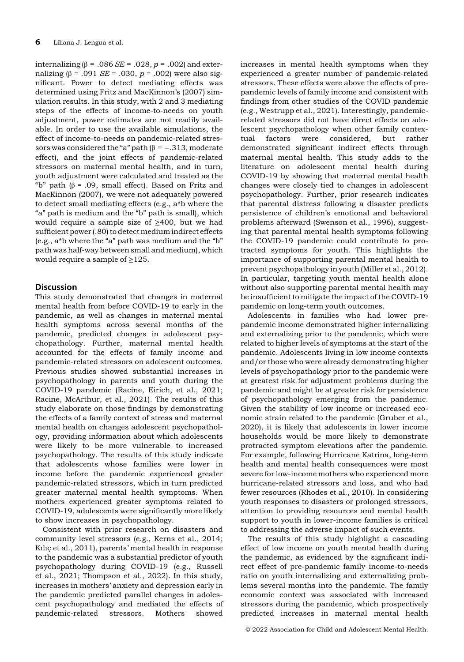internalizing (β = .086 SE = .028,  $p = .002$ ) and externalizing (β = .091 SE = .030,  $p = .002$ ) were also significant. Power to detect mediating effects was determined using Fritz and MacKinnon's (2007) simulation results. In this study, with 2 and 3 mediating steps of the effects of income-to-needs on youth adjustment, power estimates are not readily available. In order to use the available simulations, the effect of income-to-needs on pandemic-related stressors was considered the "a" path  $(\beta = -.313, \text{moderate})$ effect), and the joint effects of pandemic-related stressors on maternal mental health, and in turn, youth adjustment were calculated and treated as the "b" path ( $\beta$  = .09, small effect). Based on Fritz and MacKinnon (2007), we were not adequately powered to detect small mediating effects (e.g., a\*b where the "a" path is medium and the "b" path is small), which would require a sample size of ≥400, but we had sufficient power (.80) to detect medium indirect effects (e.g., a\*b where the "a" path was medium and the "b" path was half-way between small and medium), which would require a sample of  $\geq$ 125.

# **Discussion**

This study demonstrated that changes in maternal mental health from before COVID-19 to early in the pandemic, as well as changes in maternal mental health symptoms across several months of the pandemic, predicted changes in adolescent psychopathology. Further, maternal mental health accounted for the effects of family income and pandemic-related stressors on adolescent outcomes. Previous studies showed substantial increases in psychopathology in parents and youth during the COVID-19 pandemic (Racine, Eirich, et al., 2021; Racine, McArthur, et al., 2021). The results of this study elaborate on those findings by demonstrating the effects of a family context of stress and maternal mental health on changes adolescent psychopathology, providing information about which adolescents were likely to be more vulnerable to increased psychopathology. The results of this study indicate that adolescents whose families were lower in income before the pandemic experienced greater pandemic-related stressors, which in turn predicted greater maternal mental health symptoms. When mothers experienced greater symptoms related to COVID-19, adolescents were significantly more likely to show increases in psychopathology.

Consistent with prior research on disasters and community level stressors (e.g., Kerns et al., 2014; Kılıc¸ et al., 2011), parents' mental health in response to the pandemic was a substantial predictor of youth psychopathology during COVID-19 (e.g., Russell et al., 2021; Thompson et al., 2022). In this study, increases in mothers' anxiety and depression early in the pandemic predicted parallel changes in adolescent psychopathology and mediated the effects of pandemic-related stressors. Mothers showed

increases in mental health symptoms when they experienced a greater number of pandemic-related stressors. These effects were above the effects of prepandemic levels of family income and consistent with findings from other studies of the COVID pandemic (e.g., Westrupp et al., 2021). Interestingly, pandemicrelated stressors did not have direct effects on adolescent psychopathology when other family contextual factors were considered, but rather demonstrated significant indirect effects through maternal mental health. This study adds to the literature on adolescent mental health during COVID-19 by showing that maternal mental health changes were closely tied to changes in adolescent psychopathology. Further, prior research indicates that parental distress following a disaster predicts persistence of children's emotional and behavioral problems afterward (Swenson et al., 1996), suggesting that parental mental health symptoms following the COVID-19 pandemic could contribute to protracted symptoms for youth. This highlights the importance of supporting parental mental health to prevent psychopathology in youth (Miller et al., 2012). In particular, targeting youth mental health alone without also supporting parental mental health may be insufficient to mitigate the impact of the COVID-19 pandemic on long-term youth outcomes.

Adolescents in families who had lower prepandemic income demonstrated higher internalizing and externalizing prior to the pandemic, which were related to higher levels of symptoms at the start of the pandemic. Adolescents living in low income contexts and/or those who were already demonstrating higher levels of psychopathology prior to the pandemic were at greatest risk for adjustment problems during the pandemic and might be at greater risk for persistence of psychopathology emerging from the pandemic. Given the stability of low income or increased economic strain related to the pandemic (Gruber et al., 2020), it is likely that adolescents in lower income households would be more likely to demonstrate protracted symptom elevations after the pandemic. For example, following Hurricane Katrina, long-term health and mental health consequences were most severe for low-income mothers who experienced more hurricane-related stressors and loss, and who had fewer resources (Rhodes et al., 2010). In considering youth responses to disasters or prolonged stressors, attention to providing resources and mental health support to youth in lower-income families is critical to addressing the adverse impact of such events.

The results of this study highlight a cascading effect of low income on youth mental health during the pandemic, as evidenced by the significant indirect effect of pre-pandemic family income-to-needs ratio on youth internalizing and externalizing problems several months into the pandemic. The family economic context was associated with increased stressors during the pandemic, which prospectively predicted increases in maternal mental health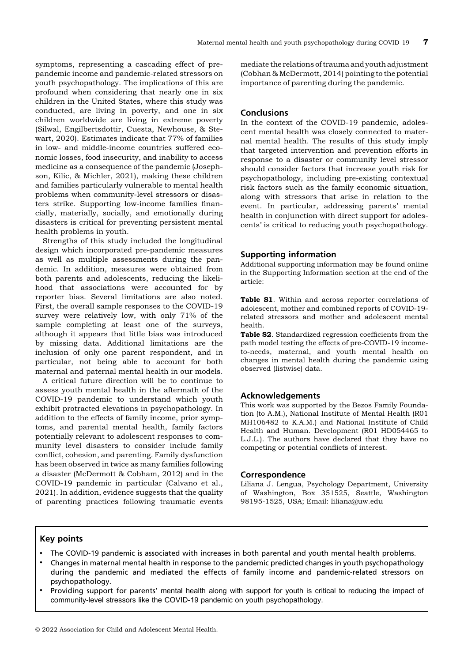symptoms, representing a cascading effect of prepandemic income and pandemic-related stressors on youth psychopathology. The implications of this are profound when considering that nearly one in six children in the United States, where this study was conducted, are living in poverty, and one in six children worldwide are living in extreme poverty (Silwal, Engilbertsdottir, Cuesta, Newhouse, & Stewart, 2020). Estimates indicate that 77% of families in low- and middle-income countries suffered economic losses, food insecurity, and inability to access medicine as a consequence of the pandemic (Josephson, Kilic, & Michler, 2021), making these children and families particularly vulnerable to mental health problems when community-level stressors or disasters strike. Supporting low-income families financially, materially, socially, and emotionally during disasters is critical for preventing persistent mental health problems in youth.

Strengths of this study included the longitudinal design which incorporated pre-pandemic measures as well as multiple assessments during the pandemic. In addition, measures were obtained from both parents and adolescents, reducing the likelihood that associations were accounted for by reporter bias. Several limitations are also noted. First, the overall sample responses to the COVID-19 survey were relatively low, with only 71% of the sample completing at least one of the surveys, although it appears that little bias was introduced by missing data. Additional limitations are the inclusion of only one parent respondent, and in particular, not being able to account for both maternal and paternal mental health in our models.

A critical future direction will be to continue to assess youth mental health in the aftermath of the COVID-19 pandemic to understand which youth exhibit protracted elevations in psychopathology. In addition to the effects of family income, prior symptoms, and parental mental health, family factors potentially relevant to adolescent responses to community level disasters to consider include family conflict, cohesion, and parenting. Family dysfunction has been observed in twice as many families following a disaster (McDermott & Cobham, 2012) and in the COVID-19 pandemic in particular (Calvano et al., 2021). In addition, evidence suggests that the quality of parenting practices following traumatic events mediate the relations of trauma and youth adjustment (Cobhan & McDermott, 2014) pointing to the potential importance of parenting during the pandemic.

# **Conclusions**

In the context of the COVID-19 pandemic, adolescent mental health was closely connected to maternal mental health. The results of this study imply that targeted intervention and prevention efforts in response to a disaster or community level stressor should consider factors that increase youth risk for psychopathology, including pre-existing contextual risk factors such as the family economic situation, along with stressors that arise in relation to the event. In particular, addressing parents' mental health in conjunction with direct support for adolescents' is critical to reducing youth psychopathology.

# Supporting information

Additional supporting information may be found online in the Supporting Information section at the end of the article:

Table S1. Within and across reporter correlations of adolescent, mother and combined reports of COVID-19 related stressors and mother and adolescent mental health.

Table S2. Standardized regression coefficients from the path model testing the effects of pre-COVID-19 incometo-needs, maternal, and youth mental health on changes in mental health during the pandemic using observed (listwise) data.

## Acknowledgements

This work was supported by the Bezos Family Foundation (to A.M.), National Institute of Mental Health (R01 MH106482 to K.A.M.) and National Institute of Child Health and Human. Development (R01 HD054465 to L.J.L.). The authors have declared that they have no competing or potential conflicts of interest.

## Correspondence

Liliana J. Lengua, Psychology Department, University of Washington, Box 351525, Seattle, Washington 98195-1525, USA; Email: liliana@uw.edu

# Key points

- The COVID-19 pandemic is associated with increases in both parental and youth mental health problems.
- Changes in maternal mental health in response to the pandemic predicted changes in youth psychopathology during the pandemic and mediated the effects of family income and pandemic-related stressors on psychopathology.
- Providing support for parents' mental health along with support for youth is critical to reducing the impact of community-level stressors like the COVID-19 pandemic on youth psychopathology.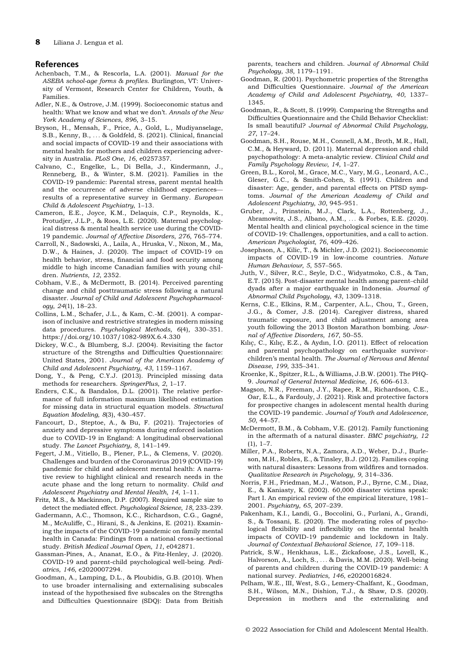## References

- Achenbach, T.M., & Rescorla, L.A. (2001). Manual for the ASEBA school-age forms & profiles. Burlington, VT: University of Vermont, Research Center for Children, Youth, & Families.
- Adler, N.E., & Ostrove, J.M. (1999). Socioeconomic status and health: What we know and what we don't. Annals of the New York Academy of Sciences, 896, 3–15.
- Bryson, H., Mensah, F., Price, A., Gold, L., Mudiyanselage, S.B., Kenny, B., ... & Goldfeld, S. (2021). Clinical, financial and social impacts of COVID-19 and their associations with mental health for mothers and children experiencing adversity in Australia. PLoS One, 16, e0257357.
- Calvano, C., Engelke, L., Di Bella, J., Kindermann, J., Renneberg, B., & Winter, S.M. (2021). Families in the COVID-19 pandemic: Parental stress, parent mental health and the occurrence of adverse childhood experiences results of a representative survey in Germany. European Child & Adolescent Psychiatry, 1–13.
- Cameron, E.E., Joyce, K.M., Delaquis, C.P., Reynolds, K., Protudjer, J.L.P., & Roos, L.E. (2020). Maternal psychological distress & mental health service use during the COVID-19 pandemic. Journal of Affective Disorders, 276, 765–774.
- Carroll, N., Sadowski, A., Laila, A., Hruska, V., Nixon, M., Ma, D.W., & Haines, J. (2020). The impact of COVID-19 on health behavior, stress, financial and food security among middle to high income Canadian families with young children. Nutrients, 12, 2352.
- Cobham, V.E., & McDermott, B. (2014). Perceived parenting change and child posttraumatic stress following a natural disaster. Journal of Child and Adolescent Psychopharmacology, 24(1), 18–23.
- Collins, L.M., Schafer, J.L., & Kam, C.-M. (2001). A comparison of inclusive and restrictive strategies in modern missing data procedures. Psychological Methods, 6(4), 330–351. <https://doi.org/10.1037/1082-989X.6.4.330>
- Dickey, W.C., & Blumberg, S.J. (2004). Revisiting the factor structure of the Strengths and Difficulties Questionnaire: United States, 2001. Journal of the American Academy of Child and Adolescent Psychiatry, 43, 1159–1167.
- Dong, Y., & Peng, C.Y.J. (2013). Principled missing data methods for researchers. SpringerPlus, 2, 1–17.
- Enders, C.K., & Bandalos, D.L. (2001). The relative performance of full information maximum likelihood estimation for missing data in structural equation models. Structural Equation Modeling, 8(3), 430–457.
- Fancourt, D., Steptoe, A., & Bu, F. (2021). Trajectories of anxiety and depressive symptoms during enforced isolation due to COVID-19 in England: A longitudinal observational study. The Lancet Psychiatry, 8, 141–149.
- Fegert, J.M., Vitiello, B., Plener, P.L., & Clemens, V. (2020). Challenges and burden of the Coronavirus 2019 (COVID-19) pandemic for child and adolescent mental health: A narrative review to highlight clinical and research needs in the acute phase and the long return to normality. Child and Adolescent Psychiatry and Mental Health, 14, 1–11.
- Fritz, M.S., & Mackinnon, D.P. (2007). Required sample size to detect the mediated effect. Psychological Science, 18, 233–239.
- Gadermann, A.C., Thomson, K.C., Richardson, C.G., Gagné, M., McAuliffe, C., Hirani, S., & Jenkins, E. (2021). Examining the impacts of the COVID-19 pandemic on family mental health in Canada: Findings from a national cross-sectional study. British Medical Journal Open, 11, e042871.
- Gassman-Pines, A., Ananat, E.O., & Fitz-Henley, J. (2020). COVID-19 and parent-child psychological well-being. Pediatrics, 146, e2020007294.
- Goodman, A., Lamping, D.L., & Ploubidis, G.B. (2010). When to use broader internalising and externalising subscales instead of the hypothesised five subscales on the Strengths and Difficulties Questionnaire (SDQ): Data from British

parents, teachers and children. Journal of Abnormal Child Psychology, 38, 1179–1191.

- Goodman, R. (2001). Psychometric properties of the Strengths and Difficulties Questionnaire. Journal of the American Academy of Child and Adolescent Psychiatry, 40, 1337– 1345.
- Goodman, R., & Scott, S. (1999). Comparing the Strengths and Difficulties Questionnaire and the Child Behavior Checklist: Is small beautiful? Journal of Abnormal Child Psychology, 27, 17–24.
- Goodman, S.H., Rouse, M.H., Connell, A.M., Broth, M.R., Hall, C.M., & Heyward, D. (2011). Maternal depression and child psychopathology: A meta-analytic review. Clinical Child and Family Psychology Review, 14, 1–27.
- Green, B.L., Korol, M., Grace, M.C., Vary, M.G., Leonard, A.C., Gleser, G.C., & Smith-Cohen, S. (1991). Children and disaster: Age, gender, and parental effects on PTSD symptoms. Journal of the American Academy of Child and Adolescent Psychiatry, 30, 945–951.
- Gruber, J., Prinstein, M.J., Clark, L.A., Rottenberg, J., Abramowitz, J.S., Albano, A.M., ... & Forbes, E.E. (2020). Mental health and clinical psychological science in the time of COVID-19: Challenges, opportunities, and a call to action. American Psychologist, 76, 409–426.
- Josephson, A., Kilic, T., & Michler, J.D. (2021). Socioeconomic impacts of COVID-19 in low-income countries. Nature Human Behaviour, 5, 557–565.
- Juth, V., Silver, R.C., Seyle, D.C., Widyatmoko, C.S., & Tan, E.T. (2015). Post-disaster mental health among parent–child dyads after a major earthquake in Indonesia. Journal of Abnormal Child Psychology, 43, 1309–1318.
- Kerns, C.E., Elkins, R.M., Carpenter, A.L., Chou, T., Green, J.G., & Comer, J.S. (2014). Caregiver distress, shared traumatic exposure, and child adjustment among area youth following the 2013 Boston Marathon bombing. Journal of Affective Disorders, 167, 50–55.
- Kılıç, C., Kılıç, E.Z., & Aydın, İ.O. (2011). Effect of relocation and parental psychopathology on earthquake survivorchildren's mental health. The Journal of Nervous and Mental Disease, 199, 335–341.
- Kroenke, K., Spitzer, R.L., & Williams, J.B.W. (2001). The PHQ-9. Journal of General Internal Medicine, 16, 606–613.
- Magson, N.R., Freeman, J.Y., Rapee, R.M., Richardson, C.E., Oar, E.L., & Fardouly, J. (2021). Risk and protective factors for prospective changes in adolescent mental health during the COVID-19 pandemic. Journal of Youth and Adolescence, 50, 44–57.
- McDermott, B.M., & Cobham, V.E. (2012). Family functioning in the aftermath of a natural disaster. BMC psychiatry, 12  $(1), 1-7.$
- Miller, P.A., Roberts, N.A., Zamora, A.D., Weber, D.J., Burleson, M.H., Robles, E., & Tinsley, B.J. (2012). Families coping with natural disasters: Lessons from wildfires and tornados. Qualitative Research in Psychology, 9, 314–336.
- Norris, F.H., Friedman, M.J., Watson, P.J., Byrne, C.M., Diaz, E., & Kaniasty, K. (2002). 60,000 disaster victims speak: Part I. An empirical review of the empirical literature, 1981– 2001. Psychiatry, 65, 207–239.
- Pakenham, K.I., Landi, G., Boccolini, G., Furlani, A., Grandi, S., & Tossani, E. (2020). The moderating roles of psychological flexibility and inflexibility on the mental health impacts of COVID-19 pandemic and lockdown in Italy. Journal of Contextual Behavioral Science, 17, 109–118.
- Patrick, S.W., Henkhaus, L.E., Zickafoose, J.S., Lovell, K., Halvorson, A., Loch, S., ... & Davis, M.M. (2020). Well-being of parents and children during the COVID-19 pandemic: A national survey. Pediatrics, 146, e2020016824.
- Pelham, W.E., III, West, S.G., Lemery-Chalfant, K., Goodman, S.H., Wilson, M.N., Dishion, T.J., & Shaw, D.S. (2020). Depression in mothers and the externalizing and